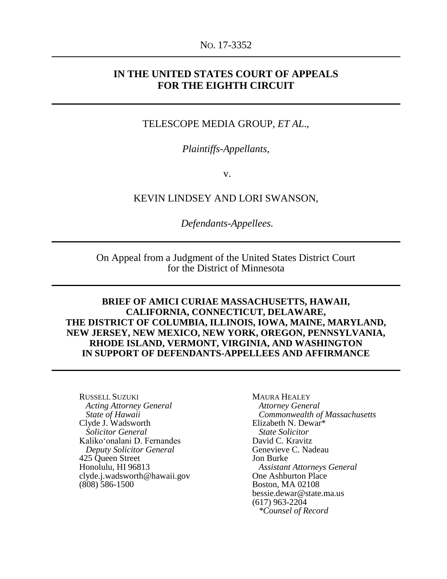#### NO. 17-3352

## **IN THE UNITED STATES COURT OF APPEALS FOR THE EIGHTH CIRCUIT**

#### TELESCOPE MEDIA GROUP, *ET AL*.,

*Plaintiffs-Appellants,*

v.

KEVIN LINDSEY AND LORI SWANSON,

*Defendants-Appellees.*

On Appeal from a Judgment of the United States District Court for the District of Minnesota

**BRIEF OF AMICI CURIAE MASSACHUSETTS, HAWAII, CALIFORNIA, CONNECTICUT, DELAWARE, THE DISTRICT OF COLUMBIA, ILLINOIS, IOWA, MAINE, MARYLAND, NEW JERSEY, NEW MEXICO, NEW YORK, OREGON, PENNSYLVANIA, RHODE ISLAND, VERMONT, VIRGINIA, AND WASHINGTON IN SUPPORT OF DEFENDANTS-APPELLEES AND AFFIRMANCE**

RUSSELL SUZUKI *Acting Attorney General State of Hawaii* Clyde J. Wadsworth  *Solicitor General* Kalikoʻonalani D. Fernandes *Deputy Solicitor General* 425 Queen Street Honolulu, HI 96813 clyde.j.wadsworth@hawaii.gov (808) 586-1500

MAURA HEALEY *Attorney General Commonwealth of Massachusetts*  Elizabeth N. Dewar\*  *State Solicitor* David C. Kravitz Genevieve C. Nadeau Jon Burke *Assistant Attorneys General* One Ashburton Place Boston, MA 02108 bessie.dewar@state.ma.us<br>(617) 963-2204 (617) 963-2204 *\*Counsel of Record*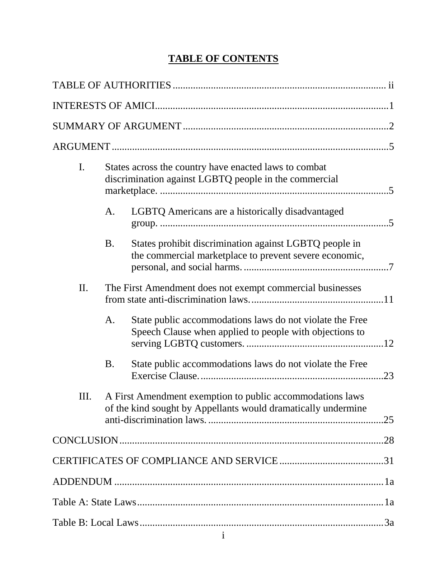# **TABLE OF CONTENTS**

| I.  |           | States across the country have enacted laws to combat<br>discrimination against LGBTQ people in the commercial             |  |
|-----|-----------|----------------------------------------------------------------------------------------------------------------------------|--|
|     | A.        | LGBTQ Americans are a historically disadvantaged                                                                           |  |
|     | <b>B.</b> | States prohibit discrimination against LGBTQ people in<br>the commercial marketplace to prevent severe economic,           |  |
| II. |           | The First Amendment does not exempt commercial businesses                                                                  |  |
|     | A.        | State public accommodations laws do not violate the Free<br>Speech Clause when applied to people with objections to        |  |
|     | <b>B.</b> | State public accommodations laws do not violate the Free                                                                   |  |
| Ш.  |           | A First Amendment exemption to public accommodations laws<br>of the kind sought by Appellants would dramatically undermine |  |
|     |           |                                                                                                                            |  |
|     |           |                                                                                                                            |  |
|     |           |                                                                                                                            |  |
|     |           |                                                                                                                            |  |
|     |           |                                                                                                                            |  |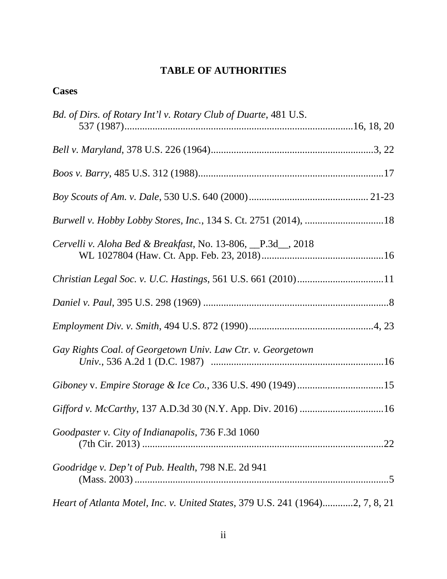# <span id="page-2-0"></span>**TABLE OF AUTHORITIES**

# **Cases**

| Bd. of Dirs. of Rotary Int'l v. Rotary Club of Duarte, 481 U.S.               |  |
|-------------------------------------------------------------------------------|--|
|                                                                               |  |
|                                                                               |  |
|                                                                               |  |
|                                                                               |  |
|                                                                               |  |
| Cervelli v. Aloha Bed & Breakfast, No. 13-806, P.3d <sub>, 2018</sub>         |  |
|                                                                               |  |
|                                                                               |  |
|                                                                               |  |
| Gay Rights Coal. of Georgetown Univ. Law Ctr. v. Georgetown                   |  |
| Giboney v. Empire Storage & Ice Co., 336 U.S. 490 (1949)15                    |  |
|                                                                               |  |
| Goodpaster v. City of Indianapolis, 736 F.3d 1060                             |  |
| Goodridge v. Dep't of Pub. Health, 798 N.E. 2d 941                            |  |
| Heart of Atlanta Motel, Inc. v. United States, 379 U.S. 241 (1964)2, 7, 8, 21 |  |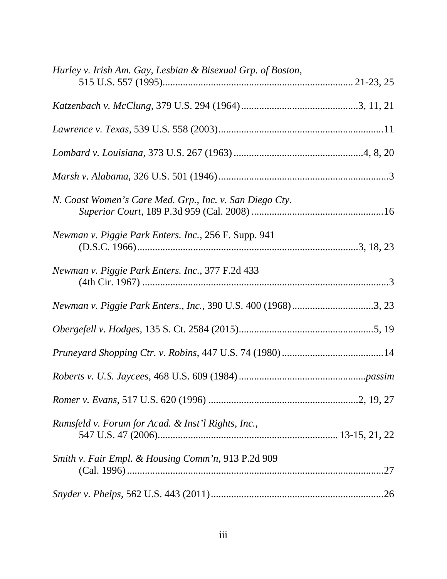| Hurley v. Irish Am. Gay, Lesbian & Bisexual Grp. of Boston,   |  |
|---------------------------------------------------------------|--|
|                                                               |  |
|                                                               |  |
|                                                               |  |
|                                                               |  |
| N. Coast Women's Care Med. Grp., Inc. v. San Diego Cty.       |  |
| Newman v. Piggie Park Enters. Inc., 256 F. Supp. 941          |  |
| Newman v. Piggie Park Enters. Inc., 377 F.2d 433              |  |
| Newman v. Piggie Park Enters., Inc., 390 U.S. 400 (1968)3, 23 |  |
|                                                               |  |
|                                                               |  |
|                                                               |  |
|                                                               |  |
| Rumsfeld v. Forum for Acad. & Inst'l Rights, Inc.,            |  |
| Smith v. Fair Empl. & Housing Comm'n, 913 P.2d 909            |  |
|                                                               |  |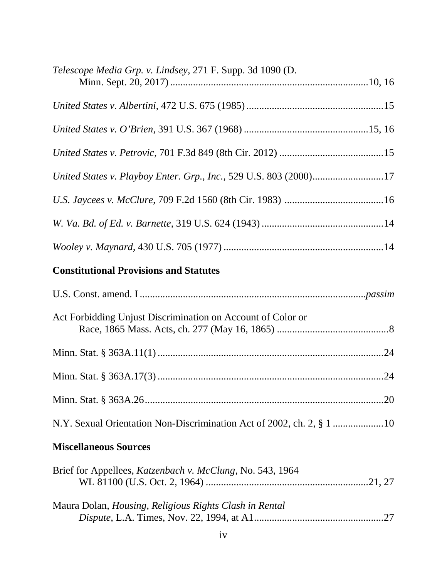| Telescope Media Grp. v. Lindsey, 271 F. Supp. 3d 1090 (D.             |  |
|-----------------------------------------------------------------------|--|
|                                                                       |  |
|                                                                       |  |
|                                                                       |  |
| United States v. Playboy Enter. Grp., Inc., 529 U.S. 803 (2000)17     |  |
|                                                                       |  |
|                                                                       |  |
|                                                                       |  |
| <b>Constitutional Provisions and Statutes</b>                         |  |
|                                                                       |  |
| Act Forbidding Unjust Discrimination on Account of Color or           |  |
|                                                                       |  |
|                                                                       |  |
|                                                                       |  |
| N.Y. Sexual Orientation Non-Discrimination Act of 2002, ch. 2, § 1 10 |  |
| <b>Miscellaneous Sources</b>                                          |  |
| Brief for Appellees, Katzenbach v. McClung, No. 543, 1964             |  |
| Maura Dolan, Housing, Religious Rights Clash in Rental                |  |
| iv                                                                    |  |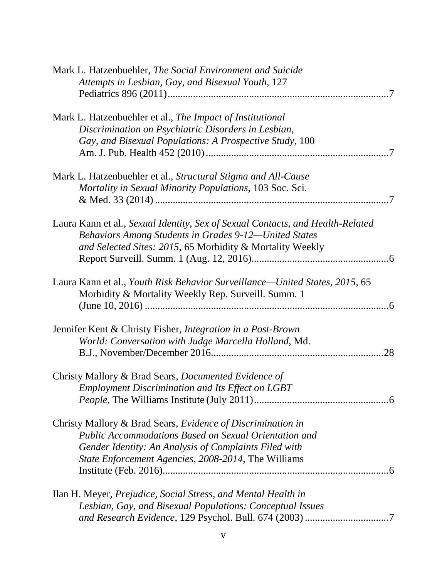| Mark L. Hatzenbuehler, The Social Environment and Suicide                      |
|--------------------------------------------------------------------------------|
| Attempts in Lesbian, Gay, and Bisexual Youth, 127                              |
|                                                                                |
| Mark L. Hatzenbuehler et al., The Impact of Institutional                      |
| Discrimination on Psychiatric Disorders in Lesbian,                            |
| Gay, and Bisexual Populations: A Prospective Study, 100                        |
|                                                                                |
| Mark L. Hatzenbuehler et al., Structural Stigma and All-Cause                  |
| Mortality in Sexual Minority Populations, 103 Soc. Sci.                        |
|                                                                                |
| Laura Kann et al., Sexual Identity, Sex of Sexual Contacts, and Health-Related |
| Behaviors Among Students in Grades 9-12-United States                          |
| and Selected Sites: 2015, 65 Morbidity & Mortality Weekly                      |
|                                                                                |
|                                                                                |
| Laura Kann et al., Youth Risk Behavior Surveillance—United States, 2015, 65    |
| Morbidity & Mortality Weekly Rep. Surveill. Summ. 1                            |
|                                                                                |
| Jennifer Kent & Christy Fisher, Integration in a Post-Brown                    |
| World: Conversation with Judge Marcella Holland, Md.                           |
|                                                                                |
| Christy Mallory & Brad Sears, <i>Documented Evidence of</i>                    |
| <b>Employment Discrimination and Its Effect on LGBT</b>                        |
|                                                                                |
|                                                                                |
| Christy Mallory & Brad Sears, Evidence of Discrimination in                    |
| <b>Public Accommodations Based on Sexual Orientation and</b>                   |
| Gender Identity: An Analysis of Complaints Filed with                          |
| State Enforcement Agencies, 2008-2014, The Williams                            |
|                                                                                |
| Ilan H. Meyer, <i>Prejudice, Social Stress, and Mental Health in</i>           |
| Lesbian, Gay, and Bisexual Populations: Conceptual Issues                      |
|                                                                                |
|                                                                                |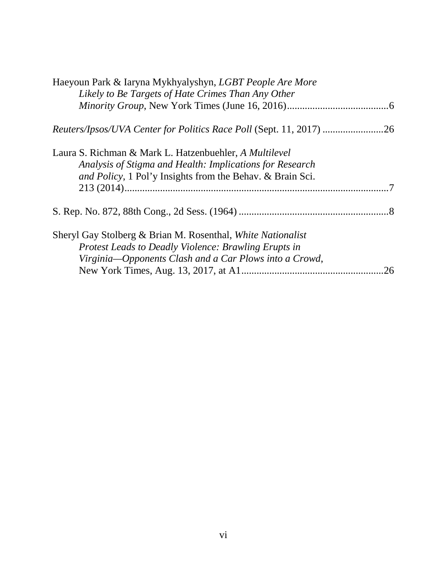| Haeyoun Park & Iaryna Mykhyalyshyn, LGBT People Are More                    |    |
|-----------------------------------------------------------------------------|----|
| Likely to Be Targets of Hate Crimes Than Any Other                          |    |
|                                                                             |    |
| <i>Reuters/Ipsos/UVA Center for Politics Race Poll (Sept. 11, 2017) </i> 26 |    |
| Laura S. Richman & Mark L. Hatzenbuehler, A Multilevel                      |    |
| Analysis of Stigma and Health: Implications for Research                    |    |
| and Policy, 1 Pol'y Insights from the Behav. & Brain Sci.                   |    |
|                                                                             |    |
|                                                                             |    |
| Sheryl Gay Stolberg & Brian M. Rosenthal, White Nationalist                 |    |
| <b>Protest Leads to Deadly Violence: Brawling Erupts in</b>                 |    |
| Virginia-Opponents Clash and a Car Plows into a Crowd,                      |    |
|                                                                             | 26 |
|                                                                             |    |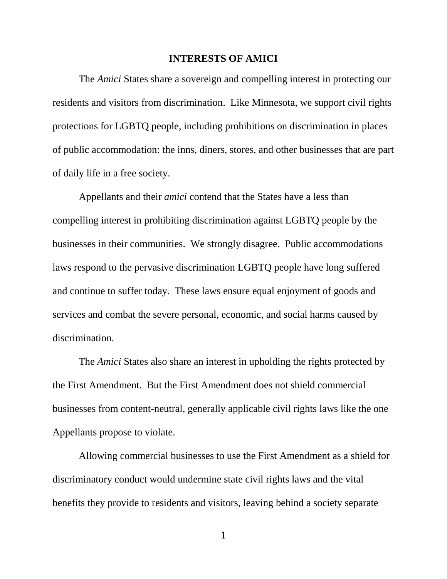#### **INTERESTS OF AMICI**

<span id="page-7-0"></span>The *Amici* States share a sovereign and compelling interest in protecting our residents and visitors from discrimination. Like Minnesota, we support civil rights protections for LGBTQ people, including prohibitions on discrimination in places of public accommodation: the inns, diners, stores, and other businesses that are part of daily life in a free society.

Appellants and their *amici* contend that the States have a less than compelling interest in prohibiting discrimination against LGBTQ people by the businesses in their communities. We strongly disagree. Public accommodations laws respond to the pervasive discrimination LGBTQ people have long suffered and continue to suffer today. These laws ensure equal enjoyment of goods and services and combat the severe personal, economic, and social harms caused by discrimination.

The *Amici* States also share an interest in upholding the rights protected by the First Amendment. But the First Amendment does not shield commercial businesses from content-neutral, generally applicable civil rights laws like the one Appellants propose to violate.

Allowing commercial businesses to use the First Amendment as a shield for discriminatory conduct would undermine state civil rights laws and the vital benefits they provide to residents and visitors, leaving behind a society separate

1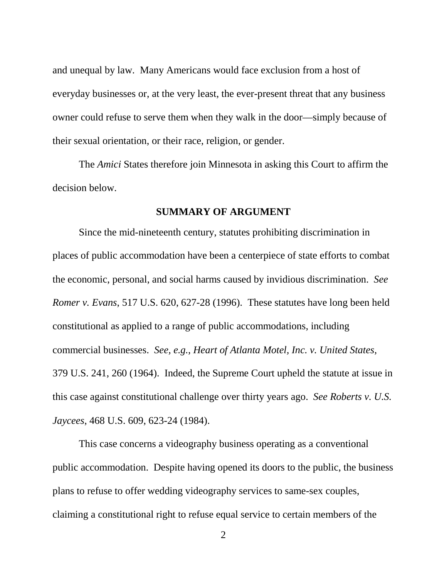and unequal by law. Many Americans would face exclusion from a host of everyday businesses or, at the very least, the ever-present threat that any business owner could refuse to serve them when they walk in the door—simply because of their sexual orientation, or their race, religion, or gender.

The *Amici* States therefore join Minnesota in asking this Court to affirm the decision below.

#### **SUMMARY OF ARGUMENT**

<span id="page-8-0"></span>Since the mid-nineteenth century, statutes prohibiting discrimination in places of public accommodation have been a centerpiece of state efforts to combat the economic, personal, and social harms caused by invidious discrimination. *See Romer v. Evans*, 517 U.S. 620, 627-28 (1996). These statutes have long been held constitutional as applied to a range of public accommodations, including commercial businesses. *See, e.g.*, *Heart of Atlanta Motel, Inc. v. United States*, 379 U.S. 241, 260 (1964). Indeed, the Supreme Court upheld the statute at issue in this case against constitutional challenge over thirty years ago. *See Roberts v. U.S. Jaycees*, 468 U.S. 609, 623-24 (1984).

This case concerns a videography business operating as a conventional public accommodation. Despite having opened its doors to the public, the business plans to refuse to offer wedding videography services to same-sex couples, claiming a constitutional right to refuse equal service to certain members of the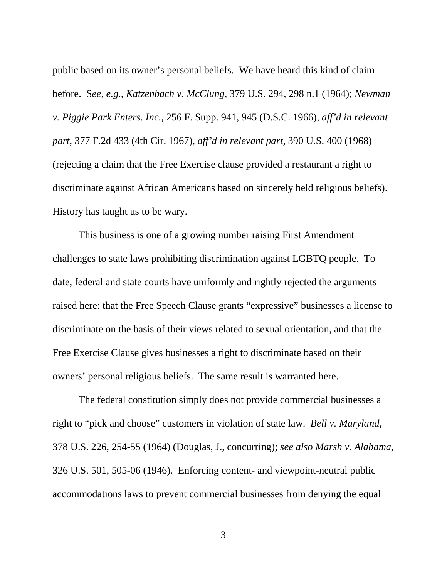public based on its owner's personal beliefs. We have heard this kind of claim before. S*ee, e.g.*, *Katzenbach v. McClung*, 379 U.S. 294, 298 n.1 (1964); *Newman v. Piggie Park Enters. Inc.*, 256 F. Supp. 941, 945 (D.S.C. 1966), *aff'd in relevant part*, 377 F.2d 433 (4th Cir. 1967), *aff'd in relevant part*, 390 U.S. 400 (1968) (rejecting a claim that the Free Exercise clause provided a restaurant a right to discriminate against African Americans based on sincerely held religious beliefs). History has taught us to be wary.

This business is one of a growing number raising First Amendment challenges to state laws prohibiting discrimination against LGBTQ people. To date, federal and state courts have uniformly and rightly rejected the arguments raised here: that the Free Speech Clause grants "expressive" businesses a license to discriminate on the basis of their views related to sexual orientation, and that the Free Exercise Clause gives businesses a right to discriminate based on their owners' personal religious beliefs. The same result is warranted here.

The federal constitution simply does not provide commercial businesses a right to "pick and choose" customers in violation of state law. *Bell v. Maryland*, 378 U.S. 226, 254-55 (1964) (Douglas, J., concurring); *see also Marsh v. Alabama,*  326 U.S. 501, 505-06 (1946). Enforcing content- and viewpoint-neutral public accommodations laws to prevent commercial businesses from denying the equal

3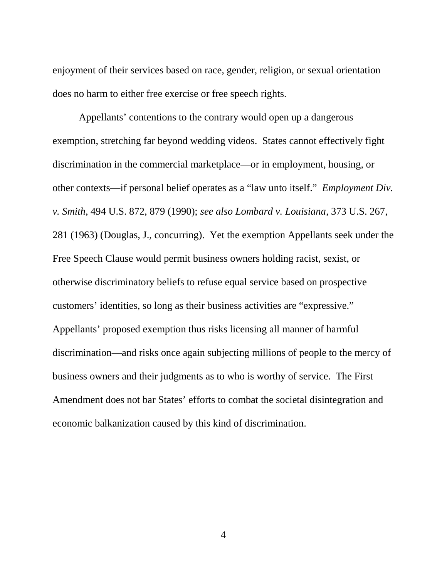enjoyment of their services based on race, gender, religion, or sexual orientation does no harm to either free exercise or free speech rights.

Appellants' contentions to the contrary would open up a dangerous exemption, stretching far beyond wedding videos. States cannot effectively fight discrimination in the commercial marketplace—or in employment, housing, or other contexts—if personal belief operates as a "law unto itself." *Employment Div. v. Smith*, 494 U.S. 872, 879 (1990); *see also Lombard v. Louisiana,* 373 U.S. 267, 281 (1963) (Douglas, J., concurring). Yet the exemption Appellants seek under the Free Speech Clause would permit business owners holding racist, sexist, or otherwise discriminatory beliefs to refuse equal service based on prospective customers' identities, so long as their business activities are "expressive." Appellants' proposed exemption thus risks licensing all manner of harmful discrimination—and risks once again subjecting millions of people to the mercy of business owners and their judgments as to who is worthy of service. The First Amendment does not bar States' efforts to combat the societal disintegration and economic balkanization caused by this kind of discrimination.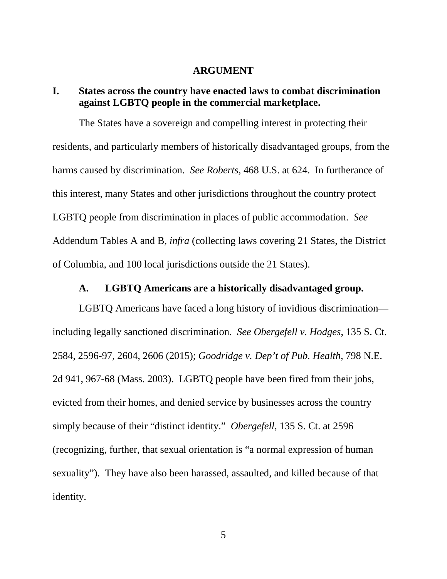#### **ARGUMENT**

# <span id="page-11-1"></span><span id="page-11-0"></span>**I. States across the country have enacted laws to combat discrimination against LGBTQ people in the commercial marketplace.**

The States have a sovereign and compelling interest in protecting their residents, and particularly members of historically disadvantaged groups, from the harms caused by discrimination. *See Roberts,* 468 U.S. at 624. In furtherance of this interest, many States and other jurisdictions throughout the country protect LGBTQ people from discrimination in places of public accommodation. *See*  Addendum Tables A and B, *infra* (collecting laws covering 21 States, the District of Columbia, and 100 local jurisdictions outside the 21 States).

#### **A. LGBTQ Americans are a historically disadvantaged group.**

<span id="page-11-2"></span>LGBTQ Americans have faced a long history of invidious discrimination including legally sanctioned discrimination. *See Obergefell v. Hodges*, 135 S. Ct. 2584, 2596-97, 2604, 2606 (2015); *Goodridge v. Dep't of Pub. Health*, 798 N.E. 2d 941, 967-68 (Mass. 2003). LGBTQ people have been fired from their jobs, evicted from their homes, and denied service by businesses across the country simply because of their "distinct identity." *Obergefell,* 135 S. Ct. at 2596 (recognizing, further, that sexual orientation is "a normal expression of human sexuality"). They have also been harassed, assaulted, and killed because of that identity.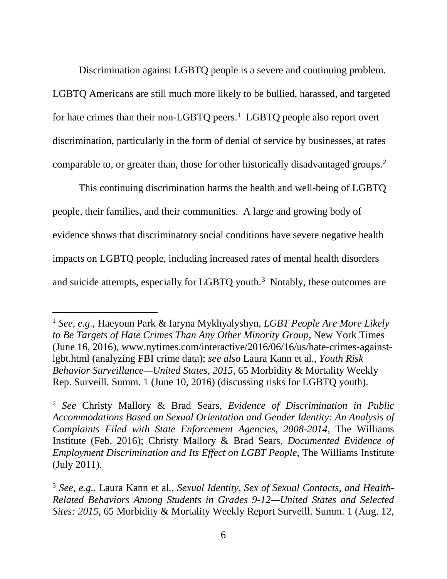Discrimination against LGBTQ people is a severe and continuing problem. LGBTQ Americans are still much more likely to be bullied, harassed, and targeted for hate crimes than their non-LGBTQ peers.<sup>[1](#page-12-0)</sup> LGBTQ people also report overt discrimination, particularly in the form of denial of service by businesses, at rates comparable to, or greater than, those for other historically disadvantaged groups.<sup>[2](#page-12-1)</sup>

This continuing discrimination harms the health and well-being of LGBTQ people, their families, and their communities. A large and growing body of evidence shows that discriminatory social conditions have severe negative health impacts on LGBTQ people, including increased rates of mental health disorders and suicide attempts, especially for LGBTQ youth. $3$  Notably, these outcomes are

<span id="page-12-0"></span> <sup>1</sup> *See, e.g.*, Haeyoun Park & Iaryna Mykhyalyshyn, *LGBT People Are More Likely to Be Targets of Hate Crimes Than Any Other Minority Group*, New York Times (June 16, 2016), www.nytimes.com/interactive/2016/06/16/us/hate-crimes-againstlgbt.html (analyzing FBI crime data); *see also* Laura Kann et al., *Youth Risk Behavior Surveillance—United States, 2015*, 65 Morbidity & Mortality Weekly Rep. Surveill. Summ. 1 (June 10, 2016) (discussing risks for LGBTQ youth).

<span id="page-12-1"></span><sup>2</sup> *See* Christy Mallory & Brad Sears, *Evidence of Discrimination in Public Accommodations Based on Sexual Orientation and Gender Identity: An Analysis of Complaints Filed with State Enforcement Agencies, 2008-2014*, The Williams Institute (Feb. 2016); Christy Mallory & Brad Sears, *Documented Evidence of Employment Discrimination and Its Effect on LGBT People*, The Williams Institute (July 2011).

<span id="page-12-2"></span><sup>3</sup> *See, e.g.*, Laura Kann et al*.*, *Sexual Identity, Sex of Sexual Contacts, and Health-Related Behaviors Among Students in Grades 9-12—United States and Selected Sites: 2015*, 65 Morbidity & Mortality Weekly Report Surveill. Summ. 1 (Aug. 12,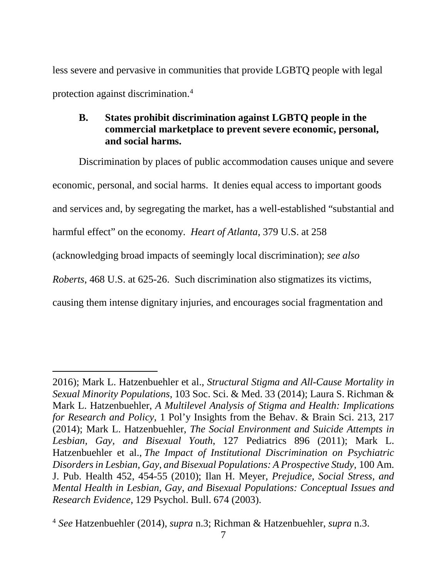less severe and pervasive in communities that provide LGBTQ people with legal protection against discrimination.[4](#page-13-1)

# <span id="page-13-0"></span>**B. States prohibit discrimination against LGBTQ people in the commercial marketplace to prevent severe economic, personal, and social harms.**

Discrimination by places of public accommodation causes unique and severe economic, personal, and social harms. It denies equal access to important goods and services and, by segregating the market, has a well-established "substantial and harmful effect" on the economy. *Heart of Atlanta*, 379 U.S. at 258 (acknowledging broad impacts of seemingly local discrimination); *see also Roberts*, 468 U.S. at 625-26. Such discrimination also stigmatizes its victims, causing them intense dignitary injuries, and encourages social fragmentation and

 $\overline{a}$ 

<sup>2016);</sup> Mark L. Hatzenbuehler et al., *Structural Stigma and All-Cause Mortality in Sexual Minority Populations*, 103 Soc. Sci. & Med. 33 (2014); Laura S. Richman & Mark L. Hatzenbuehler, *A Multilevel Analysis of Stigma and Health: Implications for Research and Policy*, 1 Pol'y Insights from the Behav. & Brain Sci. 213, 217 (2014); Mark L. Hatzenbuehler, *The Social Environment and Suicide Attempts in Lesbian, Gay, and Bisexual Youth*, 127 Pediatrics 896 (2011); Mark L. Hatzenbuehler et al., *The Impact of Institutional Discrimination on Psychiatric Disorders in Lesbian, Gay, and Bisexual Populations: A Prospective Study,* 100 Am. J. Pub. Health 452, 454-55 (2010); Ilan H. Meyer, *Prejudice, Social Stress, and Mental Health in Lesbian, Gay, and Bisexual Populations: Conceptual Issues and Research Evidence*, 129 Psychol. Bull. 674 (2003).

<span id="page-13-1"></span><sup>4</sup> *See* Hatzenbuehler (2014), *supra* n.3; Richman & Hatzenbuehler, *supra* n.3.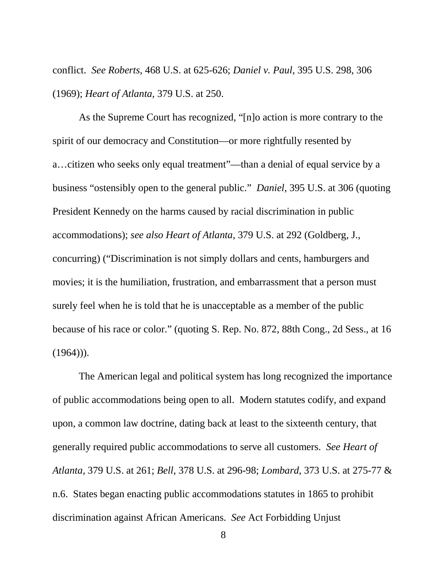conflict. *See Roberts*, 468 U.S. at 625-626; *Daniel v. Paul*, 395 U.S. 298, 306 (1969); *Heart of Atlanta*, 379 U.S. at 250.

As the Supreme Court has recognized, "[n]o action is more contrary to the spirit of our democracy and Constitution—or more rightfully resented by a…citizen who seeks only equal treatment"—than a denial of equal service by a business "ostensibly open to the general public." *Daniel*, 395 U.S. at 306 (quoting President Kennedy on the harms caused by racial discrimination in public accommodations); *see also Heart of Atlanta*, 379 U.S. at 292 (Goldberg, J., concurring) ("Discrimination is not simply dollars and cents, hamburgers and movies; it is the humiliation, frustration, and embarrassment that a person must surely feel when he is told that he is unacceptable as a member of the public because of his race or color." (quoting S. Rep. No. 872, 88th Cong., 2d Sess., at 16  $(1964))$ .

The American legal and political system has long recognized the importance of public accommodations being open to all. Modern statutes codify, and expand upon, a common law doctrine, dating back at least to the sixteenth century, that generally required public accommodations to serve all customers. *See Heart of Atlanta,* 379 U.S. at 261; *Bell*, 378 U.S. at 296-98; *Lombard*, 373 U.S. at 275-77 & n.6. States began enacting public accommodations statutes in 1865 to prohibit discrimination against African Americans. *See* Act Forbidding Unjust

8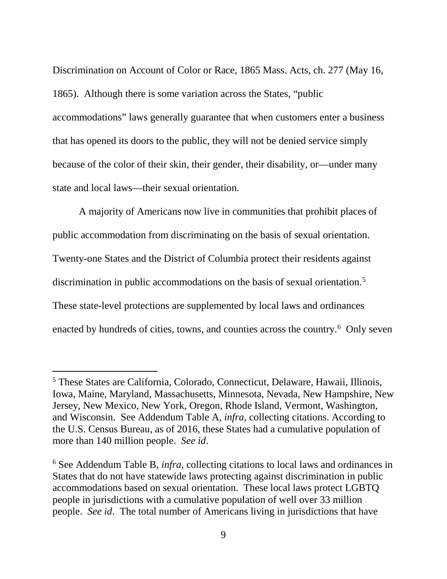Discrimination on Account of Color or Race, 1865 Mass. Acts, ch. 277 (May 16, 1865). Although there is some variation across the States, "public accommodations" laws generally guarantee that when customers enter a business that has opened its doors to the public, they will not be denied service simply because of the color of their skin, their gender, their disability, or—under many state and local laws—their sexual orientation.

A majority of Americans now live in communities that prohibit places of public accommodation from discriminating on the basis of sexual orientation. Twenty-one States and the District of Columbia protect their residents against discrimination in public accommodations on the basis of sexual orientation.<sup>5</sup> These state-level protections are supplemented by local laws and ordinances enacted by hundreds of cities, towns, and counties across the country.<sup>[6](#page-15-1)</sup> Only seven

<span id="page-15-0"></span> <sup>5</sup> These States are California, Colorado, Connecticut, Delaware, Hawaii, Illinois, Iowa, Maine, Maryland, Massachusetts, Minnesota, Nevada, New Hampshire, New Jersey, New Mexico, New York, Oregon, Rhode Island, Vermont, Washington, and Wisconsin. See Addendum Table A, *infra*, collecting citations. According to the U.S. Census Bureau, as of 2016, these States had a cumulative population of more than 140 million people. *See id*.

<span id="page-15-1"></span><sup>6</sup> See Addendum Table B, *infra*, collecting citations to local laws and ordinances in States that do not have statewide laws protecting against discrimination in public accommodations based on sexual orientation. These local laws protect LGBTQ people in jurisdictions with a cumulative population of well over 33 million people. *See id*. The total number of Americans living in jurisdictions that have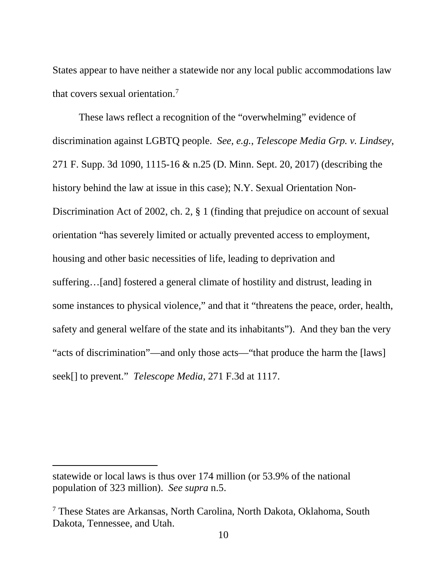States appear to have neither a statewide nor any local public accommodations law that covers sexual orientation.<sup>7</sup>

These laws reflect a recognition of the "overwhelming" evidence of discrimination against LGBTQ people. *See, e.g.*, *Telescope Media Grp. v. Lindsey*, 271 F. Supp. 3d 1090, 1115-16 & n.25 (D. Minn. Sept. 20, 2017) (describing the history behind the law at issue in this case); N.Y. Sexual Orientation Non-Discrimination Act of 2002, ch. 2, § 1 (finding that prejudice on account of sexual orientation "has severely limited or actually prevented access to employment, housing and other basic necessities of life, leading to deprivation and suffering…[and] fostered a general climate of hostility and distrust, leading in some instances to physical violence," and that it "threatens the peace, order, health, safety and general welfare of the state and its inhabitants"). And they ban the very "acts of discrimination"—and only those acts—"that produce the harm the [laws] seek[] to prevent." *Telescope Media*, 271 F.3d at 1117.

 $\overline{a}$ 

statewide or local laws is thus over 174 million (or 53.9% of the national population of 323 million). *See supra* n.5.

<span id="page-16-0"></span><sup>7</sup> These States are Arkansas, North Carolina, North Dakota, Oklahoma, South Dakota, Tennessee, and Utah.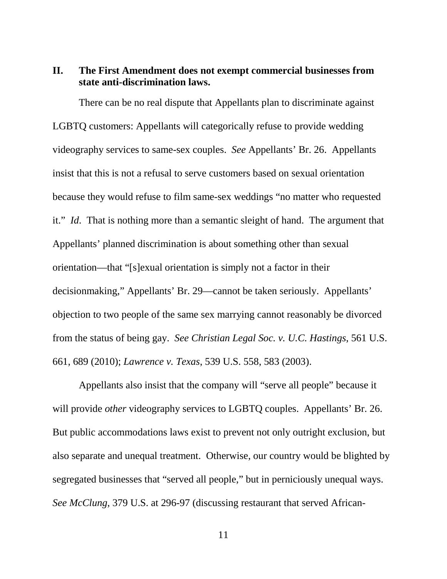# <span id="page-17-0"></span>**II. The First Amendment does not exempt commercial businesses from state anti-discrimination laws.**

There can be no real dispute that Appellants plan to discriminate against LGBTQ customers: Appellants will categorically refuse to provide wedding videography services to same-sex couples. *See* Appellants' Br. 26. Appellants insist that this is not a refusal to serve customers based on sexual orientation because they would refuse to film same-sex weddings "no matter who requested it." *Id*. That is nothing more than a semantic sleight of hand. The argument that Appellants' planned discrimination is about something other than sexual orientation—that "[s]exual orientation is simply not a factor in their decisionmaking," Appellants' Br. 29—cannot be taken seriously. Appellants' objection to two people of the same sex marrying cannot reasonably be divorced from the status of being gay. *See Christian Legal Soc. v. U.C. Hastings*, 561 U.S. 661, 689 (2010); *Lawrence v. Texas*, 539 U.S. 558, 583 (2003).

Appellants also insist that the company will "serve all people" because it will provide *other* videography services to LGBTQ couples. Appellants' Br. 26. But public accommodations laws exist to prevent not only outright exclusion, but also separate and unequal treatment. Otherwise, our country would be blighted by segregated businesses that "served all people," but in perniciously unequal ways. *See McClung*, 379 U.S. at 296-97 (discussing restaurant that served African-

11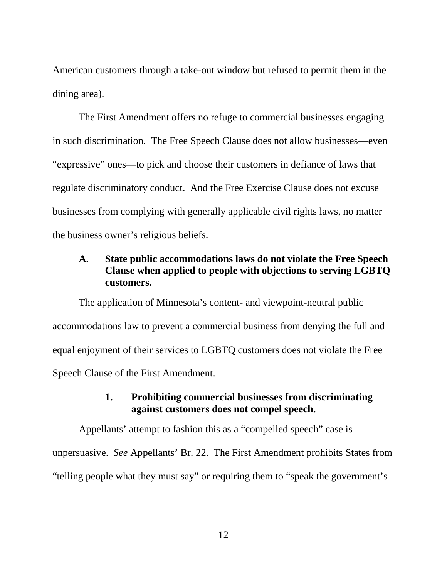American customers through a take-out window but refused to permit them in the dining area).

The First Amendment offers no refuge to commercial businesses engaging in such discrimination. The Free Speech Clause does not allow businesses—even "expressive" ones—to pick and choose their customers in defiance of laws that regulate discriminatory conduct. And the Free Exercise Clause does not excuse businesses from complying with generally applicable civil rights laws, no matter the business owner's religious beliefs.

# <span id="page-18-0"></span>**A. State public accommodations laws do not violate the Free Speech Clause when applied to people with objections to serving LGBTQ customers.**

The application of Minnesota's content- and viewpoint-neutral public accommodations law to prevent a commercial business from denying the full and equal enjoyment of their services to LGBTQ customers does not violate the Free Speech Clause of the First Amendment.

# **1. Prohibiting commercial businesses from discriminating against customers does not compel speech.**

Appellants' attempt to fashion this as a "compelled speech" case is unpersuasive. *See* Appellants' Br. 22. The First Amendment prohibits States from "telling people what they must say" or requiring them to "speak the government's

12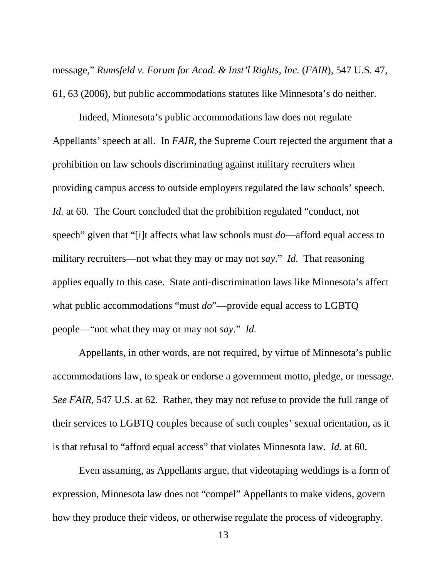message," *Rumsfeld v. Forum for Acad. & Inst'l Rights, Inc. (FAIR), 547 U.S. 47,* 61, 63 (2006), but public accommodations statutes like Minnesota's do neither.

Indeed, Minnesota's public accommodations law does not regulate Appellants' speech at all. In *FAIR*, the Supreme Court rejected the argument that a prohibition on law schools discriminating against military recruiters when providing campus access to outside employers regulated the law schools' speech. *Id.* at 60. The Court concluded that the prohibition regulated "conduct, not speech" given that "[i]t affects what law schools must *do*—afford equal access to military recruiters—not what they may or may not *say*." *Id.* That reasoning applies equally to this case. State anti-discrimination laws like Minnesota's affect what public accommodations "must *do*"—provide equal access to LGBTQ people—"not what they may or may not *say*." *Id.*

Appellants, in other words, are not required, by virtue of Minnesota's public accommodations law, to speak or endorse a government motto, pledge, or message. *See FAIR*, 547 U.S. at 62. Rather, they may not refuse to provide the full range of their services to LGBTQ couples because of such couples' sexual orientation, as it is that refusal to "afford equal access" that violates Minnesota law. *Id.* at 60.

Even assuming, as Appellants argue, that videotaping weddings is a form of expression, Minnesota law does not "compel" Appellants to make videos, govern how they produce their videos, or otherwise regulate the process of videography.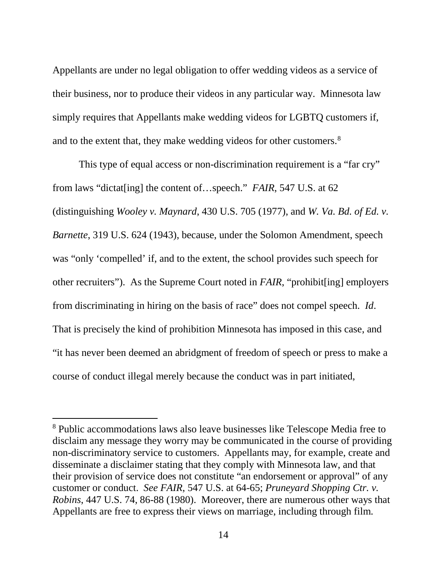Appellants are under no legal obligation to offer wedding videos as a service of their business, nor to produce their videos in any particular way. Minnesota law simply requires that Appellants make wedding videos for LGBTQ customers if, and to the extent that, they make wedding videos for other customers.<sup>8</sup>

This type of equal access or non-discrimination requirement is a "far cry" from laws "dictat[ing] the content of…speech." *FAIR*, 547 U.S. at 62 (distinguishing *Wooley v. Maynard*, 430 U.S. 705 (1977), and *W. Va. Bd. of Ed. v. Barnette*, 319 U.S. 624 (1943), because, under the Solomon Amendment, speech was "only 'compelled' if, and to the extent, the school provides such speech for other recruiters"). As the Supreme Court noted in *FAIR*, "prohibit[ing] employers from discriminating in hiring on the basis of race" does not compel speech. *Id*. That is precisely the kind of prohibition Minnesota has imposed in this case, and "it has never been deemed an abridgment of freedom of speech or press to make a course of conduct illegal merely because the conduct was in part initiated,

<span id="page-20-0"></span><sup>&</sup>lt;sup>8</sup> Public accommodations laws also leave businesses like Telescope Media free to disclaim any message they worry may be communicated in the course of providing non-discriminatory service to customers. Appellants may, for example, create and disseminate a disclaimer stating that they comply with Minnesota law, and that their provision of service does not constitute "an endorsement or approval" of any customer or conduct. *See FAIR*, 547 U.S. at 64-65; *Pruneyard Shopping Ctr. v. Robins*, 447 U.S. 74, 86-88 (1980). Moreover, there are numerous other ways that Appellants are free to express their views on marriage, including through film.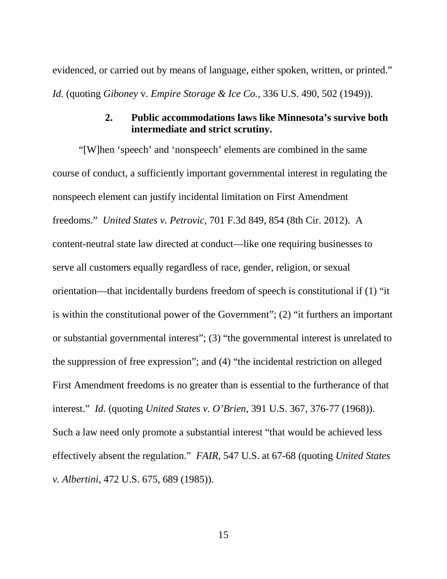evidenced, or carried out by means of language, either spoken, written, or printed." *Id.* (quoting *Giboney* v. *Empire Storage & Ice Co.,* [336 U.S. 490,](https://supreme.justia.com/cases/federal/us/336/490/index.html) 502 (1949)).

## **2. Public accommodations laws like Minnesota's survive both intermediate and strict scrutiny.**

"[W]hen 'speech' and 'nonspeech' elements are combined in the same course of conduct, a sufficiently important governmental interest in regulating the nonspeech element can justify incidental limitation on First Amendment freedoms." *United States v. Petrovic*, 701 F.3d 849, 854 (8th Cir. 2012). A content-neutral state law directed at conduct—like one requiring businesses to serve all customers equally regardless of race, gender, religion, or sexual orientation—that incidentally burdens freedom of speech is constitutional if (1) "it is within the constitutional power of the Government"; (2) "it furthers an important or substantial governmental interest"; (3) "the governmental interest is unrelated to the suppression of free expression"; and (4) "the incidental restriction on alleged First Amendment freedoms is no greater than is essential to the furtherance of that interest." *Id.* (quoting *United States v. O'Brien*, 391 U.S. 367, 376-77 (1968)). Such a law need only promote a substantial interest "that would be achieved less effectively absent the regulation." *FAIR*, 547 U.S. at 67-68 (quoting *United States v. Albertini*, 472 U.S. 675, 689 (1985)).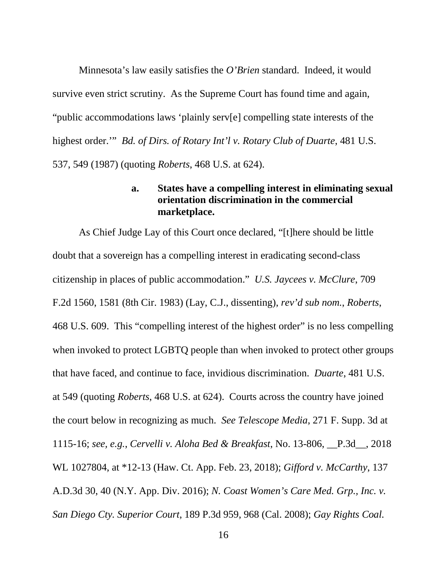Minnesota's law easily satisfies the *O'Brien* standard. Indeed, it would survive even strict scrutiny. As the Supreme Court has found time and again, "public accommodations laws 'plainly serv[e] compelling state interests of the highest order.'" *Bd. of Dirs. of Rotary Int'l v. Rotary Club of Duarte*, 481 U.S. 537, 549 (1987) (quoting *Roberts*, 468 U.S. at 624).

## **a. States have a compelling interest in eliminating sexual orientation discrimination in the commercial marketplace.**

As Chief Judge Lay of this Court once declared, "[t]here should be little doubt that a sovereign has a compelling interest in eradicating second-class citizenship in places of public accommodation." *U.S. Jaycees v. McClure*, 709 F.2d 1560, 1581 (8th Cir. 1983) (Lay, C.J., dissenting), *rev'd sub nom.*, *Roberts*, 468 U.S. 609. This "compelling interest of the highest order" is no less compelling when invoked to protect LGBTQ people than when invoked to protect other groups that have faced, and continue to face, invidious discrimination. *Duarte*, 481 U.S. at 549 (quoting *Roberts*, 468 U.S. at 624). Courts across the country have joined the court below in recognizing as much. *See Telescope Media*, 271 F. Supp. 3d at 1115-16; *see, e.g.*, *Cervelli v. Aloha Bed & Breakfast*, No. 13-806, \_\_P.3d\_\_, 2018 WL 1027804, at \*12-13 (Haw. Ct. App. Feb. 23, 2018); *Gifford v. McCarthy*, 137 A.D.3d 30, 40 (N.Y. App. Div. 2016); *N. Coast Women's Care Med. Grp., Inc. v. San Diego Cty. Superior Court*, 189 P.3d 959, 968 (Cal. 2008); *Gay Rights Coal.*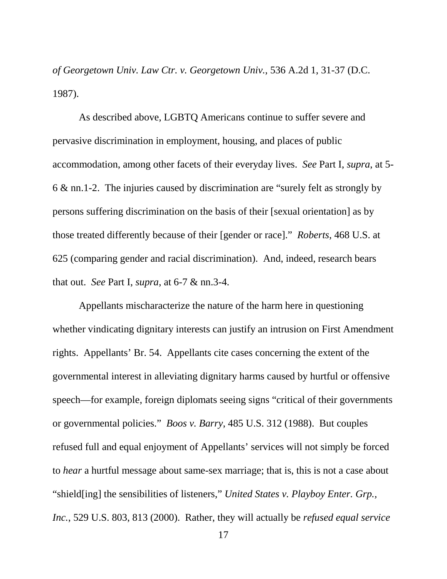*of Georgetown Univ. Law Ctr. v. Georgetown Univ.*, 536 A.2d 1, 31-37 (D.C. 1987).

As described above, LGBTQ Americans continue to suffer severe and pervasive discrimination in employment, housing, and places of public accommodation, among other facets of their everyday lives. *See* Part I, *supra*, at 5- 6 & nn.1-2. The injuries caused by discrimination are "surely felt as strongly by persons suffering discrimination on the basis of their [sexual orientation] as by those treated differently because of their [gender or race]." *Roberts*, 468 U.S. at 625 (comparing gender and racial discrimination). And, indeed, research bears that out. *See* Part I, *supra*, at 6-7 & nn.3-4.

Appellants mischaracterize the nature of the harm here in questioning whether vindicating dignitary interests can justify an intrusion on First Amendment rights. Appellants' Br. 54. Appellants cite cases concerning the extent of the governmental interest in alleviating dignitary harms caused by hurtful or offensive speech—for example, foreign diplomats seeing signs "critical of their governments or governmental policies." *Boos v. Barry*, 485 U.S. 312 (1988). But couples refused full and equal enjoyment of Appellants' services will not simply be forced to *hear* a hurtful message about same-sex marriage; that is, this is not a case about "shield[ing] the sensibilities of listeners," *United States v. Playboy Enter. Grp., Inc.*, 529 U.S. 803, 813 (2000). Rather, they will actually be *refused equal service*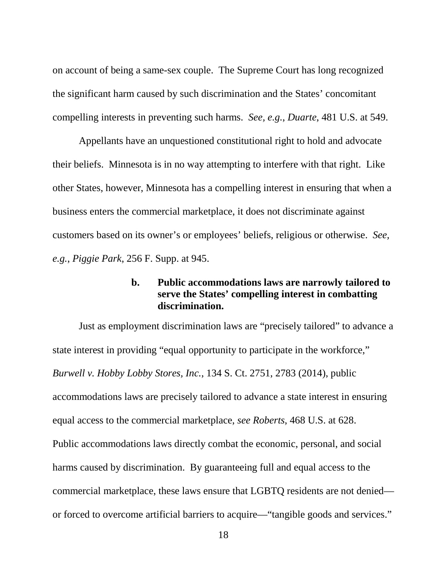on account of being a same-sex couple. The Supreme Court has long recognized the significant harm caused by such discrimination and the States' concomitant compelling interests in preventing such harms. *See, e.g.*, *Duarte*, 481 U.S. at 549.

Appellants have an unquestioned constitutional right to hold and advocate their beliefs. Minnesota is in no way attempting to interfere with that right. Like other States, however, Minnesota has a compelling interest in ensuring that when a business enters the commercial marketplace, it does not discriminate against customers based on its owner's or employees' beliefs, religious or otherwise. *See, e.g.*, *Piggie Park*, 256 F. Supp. at 945.

# **b. Public accommodations laws are narrowly tailored to serve the States' compelling interest in combatting discrimination.**

Just as employment discrimination laws are "precisely tailored" to advance a state interest in providing "equal opportunity to participate in the workforce," *Burwell v. Hobby Lobby Stores, Inc.*, 134 S. Ct. 2751, 2783 (2014), public accommodations laws are precisely tailored to advance a state interest in ensuring equal access to the commercial marketplace, *see Roberts*, 468 U.S. at 628. Public accommodations laws directly combat the economic, personal, and social harms caused by discrimination. By guaranteeing full and equal access to the commercial marketplace, these laws ensure that LGBTQ residents are not denied or forced to overcome artificial barriers to acquire—"tangible goods and services."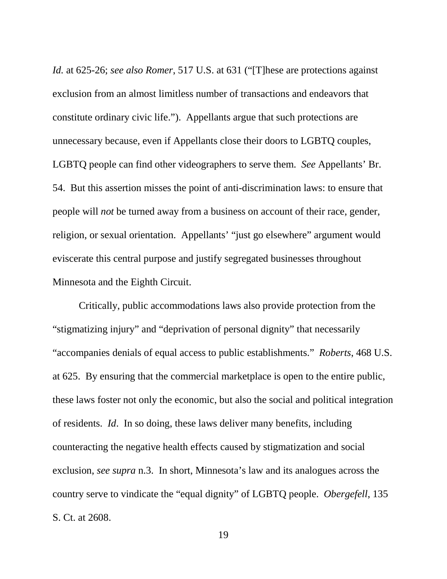*Id.* at 625-26; *see also Romer*, 517 U.S. at 631 ("[T]hese are protections against exclusion from an almost limitless number of transactions and endeavors that constitute ordinary civic life."). Appellants argue that such protections are unnecessary because, even if Appellants close their doors to LGBTQ couples, LGBTQ people can find other videographers to serve them. *See* Appellants' Br. 54. But this assertion misses the point of anti-discrimination laws: to ensure that people will *not* be turned away from a business on account of their race, gender, religion, or sexual orientation. Appellants' "just go elsewhere" argument would eviscerate this central purpose and justify segregated businesses throughout Minnesota and the Eighth Circuit.

Critically, public accommodations laws also provide protection from the "stigmatizing injury" and "deprivation of personal dignity" that necessarily "accompanies denials of equal access to public establishments." *Roberts*, 468 U.S. at 625. By ensuring that the commercial marketplace is open to the entire public, these laws foster not only the economic, but also the social and political integration of residents. *Id*. In so doing, these laws deliver many benefits, including counteracting the negative health effects caused by stigmatization and social exclusion, *see supra* n.3. In short, Minnesota's law and its analogues across the country serve to vindicate the "equal dignity" of LGBTQ people. *Obergefell*, 135 S. Ct. at 2608.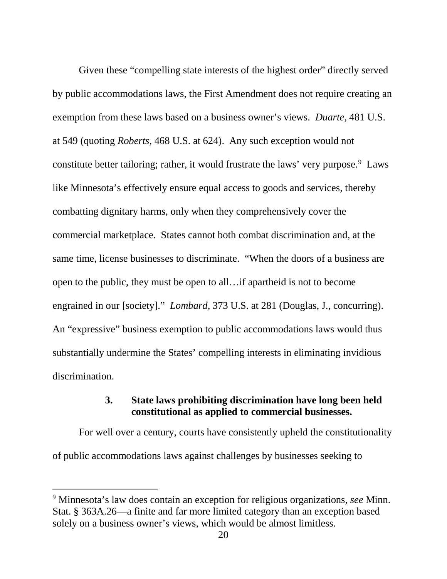Given these "compelling state interests of the highest order" directly served by public accommodations laws, the First Amendment does not require creating an exemption from these laws based on a business owner's views. *Duarte*, 481 U.S. at 549 (quoting *Roberts*, 468 U.S. at 624). Any such exception would not constitute better tailoring; rather, it would frustrate the laws' very purpose.<sup>[9](#page-26-0)</sup> Laws like Minnesota's effectively ensure equal access to goods and services, thereby combatting dignitary harms, only when they comprehensively cover the commercial marketplace. States cannot both combat discrimination and, at the same time, license businesses to discriminate. "When the doors of a business are open to the public, they must be open to all…if apartheid is not to become engrained in our [society]." *Lombard,* 373 U.S. at 281 (Douglas, J., concurring). An "expressive" business exemption to public accommodations laws would thus substantially undermine the States' compelling interests in eliminating invidious discrimination.

## **3. State laws prohibiting discrimination have long been held constitutional as applied to commercial businesses.**

For well over a century, courts have consistently upheld the constitutionality of public accommodations laws against challenges by businesses seeking to

<span id="page-26-0"></span> <sup>9</sup> Minnesota's law does contain an exception for religious organizations, *see* Minn. Stat. § 363A.26—a finite and far more limited category than an exception based solely on a business owner's views, which would be almost limitless.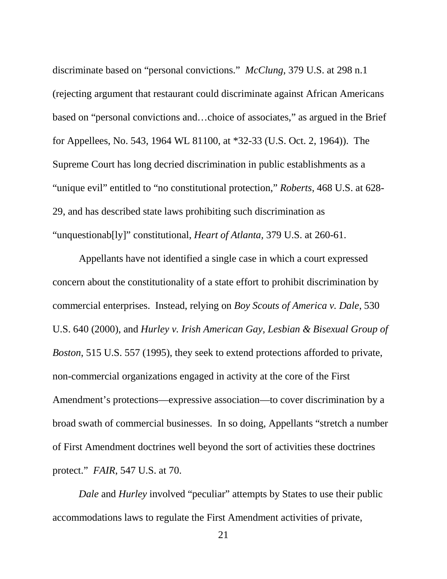discriminate based on "personal convictions." *McClung*, 379 U.S. at 298 n.1 (rejecting argument that restaurant could discriminate against African Americans based on "personal convictions and…choice of associates," as argued in the Brief for Appellees, No. 543, 1964 WL 81100, at \*32-33 (U.S. Oct. 2, 1964)). The Supreme Court has long decried discrimination in public establishments as a "unique evil" entitled to "no constitutional protection," *Roberts*, 468 U.S. at 628- 29, and has described state laws prohibiting such discrimination as "unquestionab[ly]" constitutional, *Heart of Atlanta,* 379 U.S. at 260-61.

Appellants have not identified a single case in which a court expressed concern about the constitutionality of a state effort to prohibit discrimination by commercial enterprises. Instead, relying on *Boy Scouts of America v. Dale*, 530 U.S. 640 (2000), and *Hurley v. Irish American Gay, Lesbian & Bisexual Group of Boston*, 515 U.S. 557 (1995), they seek to extend protections afforded to private, non-commercial organizations engaged in activity at the core of the First Amendment's protections—expressive association—to cover discrimination by a broad swath of commercial businesses. In so doing, Appellants "stretch a number of First Amendment doctrines well beyond the sort of activities these doctrines protect." *FAIR*, 547 U.S. at 70.

*Dale* and *Hurley* involved "peculiar" attempts by States to use their public accommodations laws to regulate the First Amendment activities of private,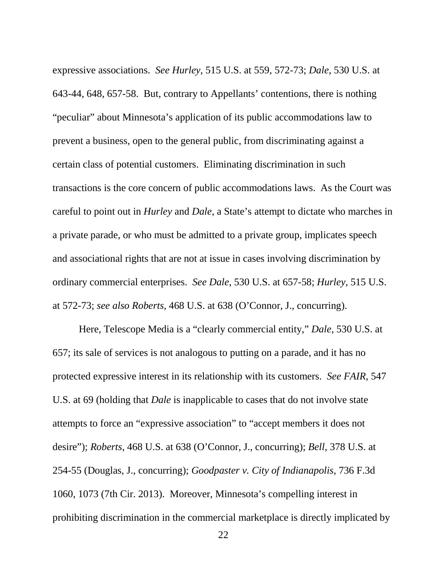expressive associations. *See Hurley*, 515 U.S. at 559, 572-73; *Dale*, 530 U.S. at 643-44, 648, 657-58. But, contrary to Appellants' contentions, there is nothing "peculiar" about Minnesota's application of its public accommodations law to prevent a business, open to the general public, from discriminating against a certain class of potential customers. Eliminating discrimination in such transactions is the core concern of public accommodations laws. As the Court was careful to point out in *Hurley* and *Dale*, a State's attempt to dictate who marches in a private parade, or who must be admitted to a private group, implicates speech and associational rights that are not at issue in cases involving discrimination by ordinary commercial enterprises. *See Dale*, 530 U.S. at 657-58; *Hurley*, 515 U.S. at 572-73; *see also Roberts*, 468 U.S. at 638 (O'Connor, J., concurring).

Here, Telescope Media is a "clearly commercial entity," *Dale*, 530 U.S. at 657; its sale of services is not analogous to putting on a parade, and it has no protected expressive interest in its relationship with its customers. *See FAIR*, 547 U.S. at 69 (holding that *Dale* is inapplicable to cases that do not involve state attempts to force an "expressive association" to "accept members it does not desire"); *Roberts*, 468 U.S. at 638 (O'Connor, J., concurring); *Bell*, 378 U.S. at 254-55 (Douglas, J., concurring); *Goodpaster v. City of Indianapolis*, 736 F.3d 1060, 1073 (7th Cir. 2013). Moreover, Minnesota's compelling interest in prohibiting discrimination in the commercial marketplace is directly implicated by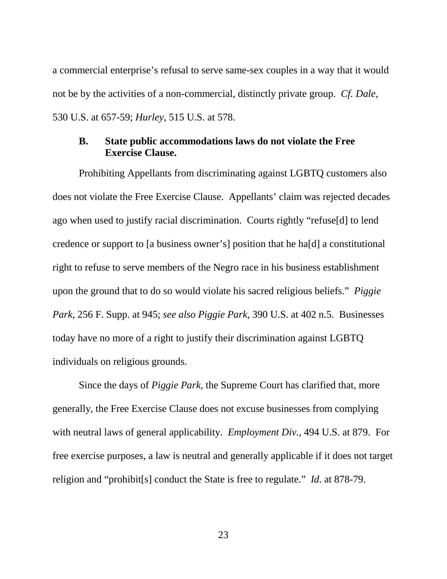a commercial enterprise's refusal to serve same-sex couples in a way that it would not be by the activities of a non-commercial, distinctly private group. *Cf. Dale*, 530 U.S. at 657-59; *Hurley*, 515 U.S. at 578.

## <span id="page-29-0"></span>**B. State public accommodations laws do not violate the Free Exercise Clause.**

Prohibiting Appellants from discriminating against LGBTQ customers also does not violate the Free Exercise Clause. Appellants' claim was rejected decades ago when used to justify racial discrimination. Courts rightly "refuse[d] to lend credence or support to [a business owner's] position that he ha[d] a constitutional right to refuse to serve members of the Negro race in his business establishment upon the ground that to do so would violate his sacred religious beliefs." *Piggie Park*, 256 F. Supp. at 945; *see also Piggie Park*, 390 U.S. at 402 n.5. Businesses today have no more of a right to justify their discrimination against LGBTQ individuals on religious grounds.

Since the days of *Piggie Park*, the Supreme Court has clarified that, more generally, the Free Exercise Clause does not excuse businesses from complying with neutral laws of general applicability. *Employment Div.*, 494 U.S. at 879. For free exercise purposes, a law is neutral and generally applicable if it does not target religion and "prohibit[s] conduct the State is free to regulate." *Id*. at 878-79.

23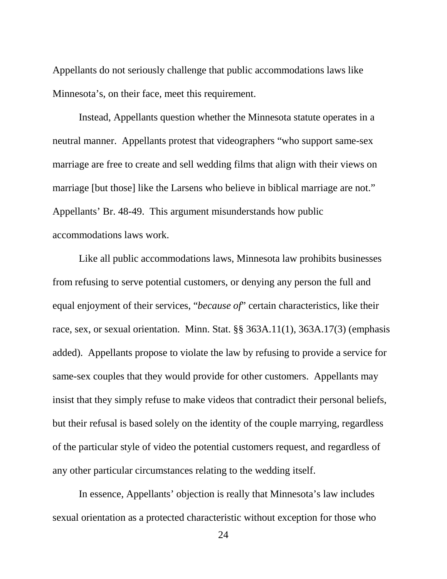Appellants do not seriously challenge that public accommodations laws like Minnesota's, on their face, meet this requirement.

Instead, Appellants question whether the Minnesota statute operates in a neutral manner. Appellants protest that videographers "who support same-sex marriage are free to create and sell wedding films that align with their views on marriage [but those] like the Larsens who believe in biblical marriage are not." Appellants' Br. 48-49. This argument misunderstands how public accommodations laws work.

Like all public accommodations laws, Minnesota law prohibits businesses from refusing to serve potential customers, or denying any person the full and equal enjoyment of their services, "*because of*" certain characteristics, like their race, sex, or sexual orientation. Minn. Stat. §§ 363A.11(1), 363A.17(3) (emphasis added). Appellants propose to violate the law by refusing to provide a service for same-sex couples that they would provide for other customers. Appellants may insist that they simply refuse to make videos that contradict their personal beliefs, but their refusal is based solely on the identity of the couple marrying, regardless of the particular style of video the potential customers request, and regardless of any other particular circumstances relating to the wedding itself.

In essence, Appellants' objection is really that Minnesota's law includes sexual orientation as a protected characteristic without exception for those who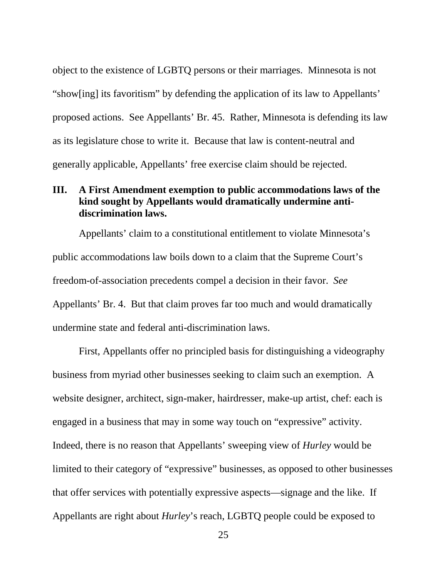object to the existence of LGBTQ persons or their marriages. Minnesota is not "show[ing] its favoritism" by defending the application of its law to Appellants' proposed actions. See Appellants' Br. 45. Rather, Minnesota is defending its law as its legislature chose to write it. Because that law is content-neutral and generally applicable, Appellants' free exercise claim should be rejected.

# <span id="page-31-0"></span>**III. A First Amendment exemption to public accommodations laws of the kind sought by Appellants would dramatically undermine antidiscrimination laws.**

Appellants' claim to a constitutional entitlement to violate Minnesota's public accommodations law boils down to a claim that the Supreme Court's freedom-of-association precedents compel a decision in their favor. *See*  Appellants' Br. 4. But that claim proves far too much and would dramatically undermine state and federal anti-discrimination laws.

First, Appellants offer no principled basis for distinguishing a videography business from myriad other businesses seeking to claim such an exemption. A website designer, architect, sign-maker, hairdresser, make-up artist, chef: each is engaged in a business that may in some way touch on "expressive" activity. Indeed, there is no reason that Appellants' sweeping view of *Hurley* would be limited to their category of "expressive" businesses, as opposed to other businesses that offer services with potentially expressive aspects—signage and the like. If Appellants are right about *Hurley*'s reach, LGBTQ people could be exposed to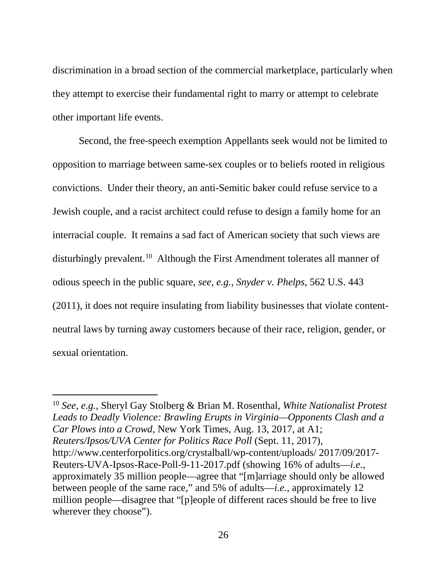discrimination in a broad section of the commercial marketplace, particularly when they attempt to exercise their fundamental right to marry or attempt to celebrate other important life events.

Second, the free-speech exemption Appellants seek would not be limited to opposition to marriage between same-sex couples or to beliefs rooted in religious convictions. Under their theory, an anti-Semitic baker could refuse service to a Jewish couple, and a racist architect could refuse to design a family home for an interracial couple. It remains a sad fact of American society that such views are disturbingly prevalent.<sup>[10](#page-32-0)</sup> Although the First Amendment tolerates all manner of odious speech in the public square, *see, e.g.*, *Snyder v. Phelps*, 562 U.S. 443 (2011), it does not require insulating from liability businesses that violate contentneutral laws by turning away customers because of their race, religion, gender, or sexual orientation.

<span id="page-32-0"></span> <sup>10</sup> *See, e.g.*, Sheryl Gay Stolberg & Brian M. Rosenthal, *White Nationalist Protest Leads to Deadly Violence: Brawling Erupts in Virginia—Opponents Clash and a Car Plows into a Crowd*, New York Times, Aug. 13, 2017, at A1; *Reuters/Ipsos/UVA Center for Politics Race Poll* (Sept. 11, 2017), http://www.centerforpolitics.org/crystalball/wp-content/uploads/ 2017/09/2017- Reuters-UVA-Ipsos-Race-Poll-9-11-2017.pdf (showing 16% of adults—*i.e.*, approximately 35 million people—agree that "[m]arriage should only be allowed between people of the same race," and 5% of adults—*i.e.*, approximately 12 million people—disagree that "[p]eople of different races should be free to live wherever they choose").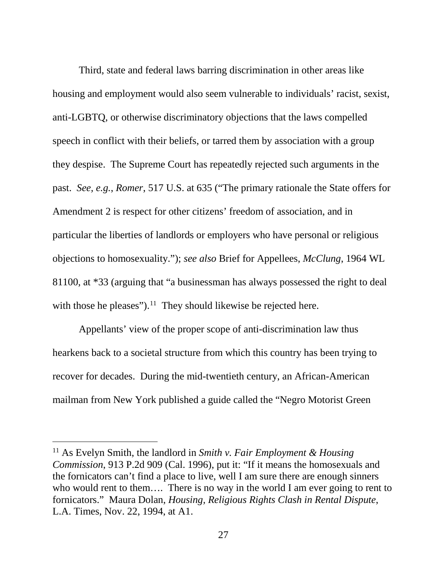Third, state and federal laws barring discrimination in other areas like housing and employment would also seem vulnerable to individuals' racist, sexist, anti-LGBTQ, or otherwise discriminatory objections that the laws compelled speech in conflict with their beliefs, or tarred them by association with a group they despise. The Supreme Court has repeatedly rejected such arguments in the past. *See, e.g.*, *Romer*, 517 U.S. at 635 ("The primary rationale the State offers for Amendment 2 is respect for other citizens' freedom of association, and in particular the liberties of landlords or employers who have personal or religious objections to homosexuality."); *see also* Brief for Appellees, *McClung*, 1964 WL 81100, at \*33 (arguing that "a businessman has always possessed the right to deal with those he pleases").<sup>11</sup> They should likewise be rejected here.

Appellants' view of the proper scope of anti-discrimination law thus hearkens back to a societal structure from which this country has been trying to recover for decades. During the mid-twentieth century, an African-American mailman from New York published a guide called the "Negro Motorist Green

<span id="page-33-0"></span> <sup>11</sup> As Evelyn Smith, the landlord in *Smith v. Fair Employment & Housing Commission*, 913 P.2d 909 (Cal. 1996), put it: "If it means the homosexuals and the fornicators can't find a place to live, well I am sure there are enough sinners who would rent to them.... There is no way in the world I am ever going to rent to fornicators." Maura Dolan, *Housing, Religious Rights Clash in Rental Dispute*, L.A. Times, Nov. 22, 1994, at A1.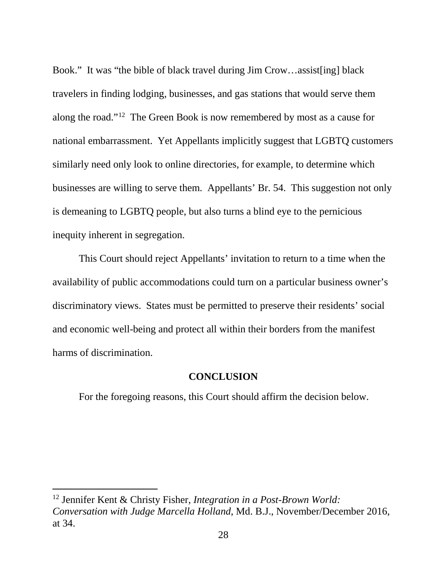Book." It was "the bible of black travel during Jim Crow…assist[ing] black travelers in finding lodging, businesses, and gas stations that would serve them along the road."[12](#page-34-1) The Green Book is now remembered by most as a cause for national embarrassment. Yet Appellants implicitly suggest that LGBTQ customers similarly need only look to online directories, for example, to determine which businesses are willing to serve them. Appellants' Br. 54. This suggestion not only is demeaning to LGBTQ people, but also turns a blind eye to the pernicious inequity inherent in segregation.

This Court should reject Appellants' invitation to return to a time when the availability of public accommodations could turn on a particular business owner's discriminatory views. States must be permitted to preserve their residents' social and economic well-being and protect all within their borders from the manifest harms of discrimination.

#### **CONCLUSION**

<span id="page-34-0"></span>For the foregoing reasons, this Court should affirm the decision below.

<span id="page-34-1"></span> <sup>12</sup> Jennifer Kent & Christy Fisher, *Integration in a Post-Brown World: Conversation with Judge Marcella Holland*, Md. B.J., November/December 2016, at 34.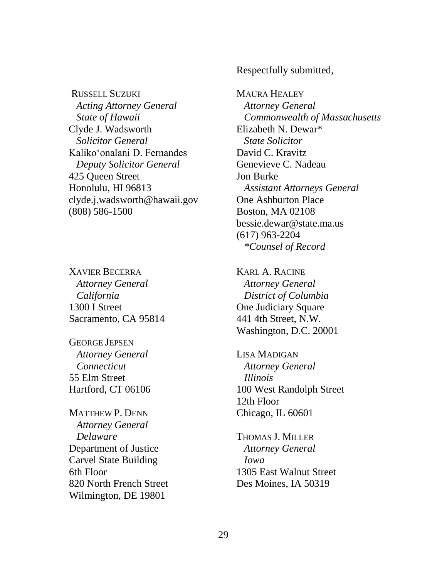RUSSELL SUZUKI *Acting Attorney General State of Hawaii* Clyde J. Wadsworth  *Solicitor General* Kalikoʻonalani D. Fernandes *Deputy Solicitor General* 425 Queen Street Honolulu, HI 96813 clyde.j.wadsworth@hawaii.gov (808) 586-1500

XAVIER BECERRA *Attorney General California*  1300 I Street Sacramento, CA 95814

GEORGE JEPSEN *Attorney General Connecticut* 55 Elm Street Hartford, CT 06106

MATTHEW P. DENN *Attorney General Delaware* Department of Justice Carvel State Building 6th Floor 820 North French Street Wilmington, DE 19801

Respectfully submitted,

MAURA HEALEY *Attorney General Commonwealth of Massachusetts*  Elizabeth N. Dewar\*  *State Solicitor* David C. Kravitz Genevieve C. Nadeau Jon Burke *Assistant Attorneys General* One Ashburton Place Boston, MA 02108 bessie.dewar@state.ma.us (617) 963-2204  *\*Counsel of Record*

KARL A. RACINE *Attorney General District of Columbia* One Judiciary Square 441 4th Street, N.W. Washington, D.C. 20001

LISA MADIGAN *Attorney General Illinois* 100 West Randolph Street 12th Floor Chicago, IL 60601

THOMAS J. MILLER *Attorney General Iowa* 1305 East Walnut Street Des Moines, IA 50319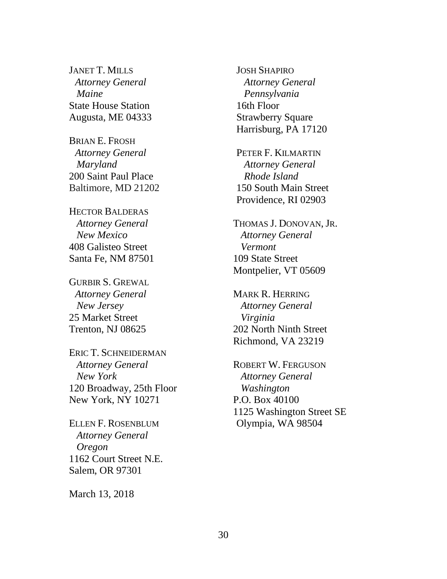JANET T. MILLS *Attorney General Maine* State House Station Augusta, ME 04333

BRIAN E. FROSH *Attorney General Maryland* 200 Saint Paul Place Baltimore, MD 21202

HECTOR BALDERAS  *Attorney General New Mexico* 408 Galisteo Street Santa Fe, NM 87501

GURBIR S. GREWAL *Attorney General New Jersey* 25 Market Street Trenton, NJ 08625

ERIC T. SCHNEIDERMAN  *Attorney General New York* 120 Broadway, 25th Floor New York, NY 10271

ELLEN F. ROSENBLUM  *Attorney General Oregon* 1162 Court Street N.E. Salem, OR 97301

March 13, 2018

JOSH SHAPIRO *Attorney General Pennsylvania* 16th Floor Strawberry Square Harrisburg, PA 17120

PETER F. KILMARTIN *Attorney General Rhode Island* 150 South Main Street Providence, RI 02903

THOMAS J. DONOVAN, JR.  *Attorney General Vermont* 109 State Street Montpelier, VT 05609

MARK R. HERRING  *Attorney General Virginia* 202 North Ninth Street Richmond, VA 23219

ROBERT W. FERGUSON *Attorney General Washington* P.O. Box 40100 1125 Washington Street SE Olympia, WA 98504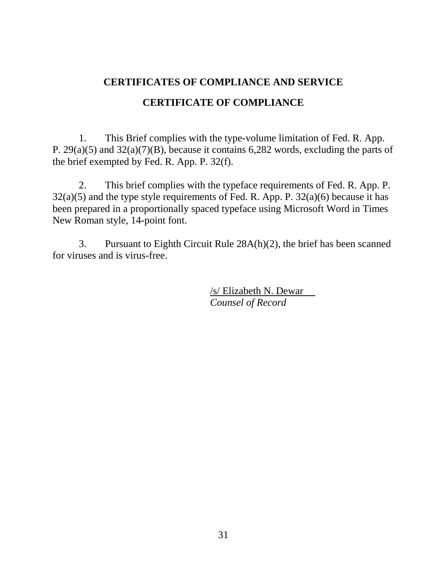# <span id="page-37-0"></span>**CERTIFICATES OF COMPLIANCE AND SERVICE CERTIFICATE OF COMPLIANCE**

1. This Brief complies with the type-volume limitation of Fed. R. App. P. 29(a)(5) and 32(a)(7)(B), because it contains 6,282 words, excluding the parts of the brief exempted by Fed. R. App. P. 32(f).

2. This brief complies with the typeface requirements of Fed. R. App. P.  $32(a)(5)$  and the type style requirements of Fed. R. App. P.  $32(a)(6)$  because it has been prepared in a proportionally spaced typeface using Microsoft Word in Times New Roman style, 14-point font.

3. Pursuant to Eighth Circuit Rule 28A(h)(2), the brief has been scanned for viruses and is virus-free.

> /s/ Elizabeth N. Dewar *Counsel of Record*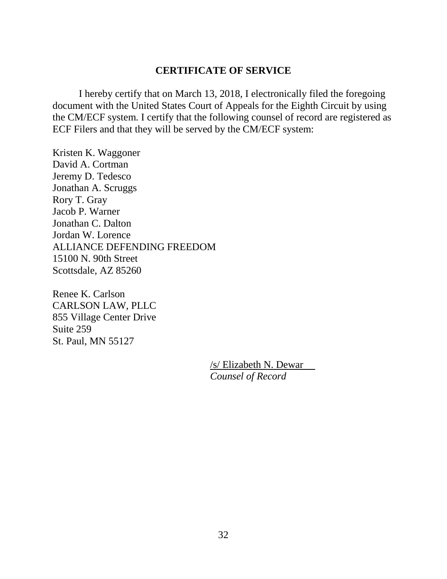#### **CERTIFICATE OF SERVICE**

I hereby certify that on March 13, 2018, I electronically filed the foregoing document with the United States Court of Appeals for the Eighth Circuit by using the CM/ECF system. I certify that the following counsel of record are registered as ECF Filers and that they will be served by the CM/ECF system:

Kristen K. Waggoner David A. Cortman Jeremy D. Tedesco Jonathan A. Scruggs Rory T. Gray Jacob P. Warner Jonathan C. Dalton Jordan W. Lorence ALLIANCE DEFENDING FREEDOM 15100 N. 90th Street Scottsdale, AZ 85260

Renee K. Carlson CARLSON LAW, PLLC 855 Village Center Drive Suite 259 St. Paul, MN 55127

> /s/ Elizabeth N. Dewar *Counsel of Record*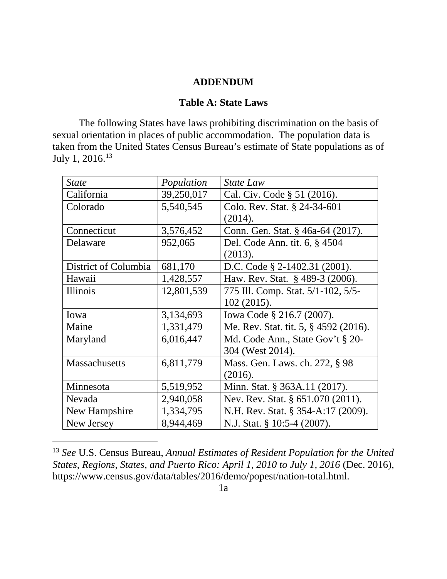#### **ADDENDUM**

#### **Table A: State Laws**

<span id="page-39-1"></span><span id="page-39-0"></span>The following States have laws prohibiting discrimination on the basis of sexual orientation in places of public accommodation. The population data is taken from the United States Census Bureau's estimate of State populations as of July 1, 2016.[13](#page-39-2)

| <b>State</b>         | Population | State Law                             |
|----------------------|------------|---------------------------------------|
| California           | 39,250,017 | Cal. Civ. Code § 51 (2016).           |
| Colorado             | 5,540,545  | Colo. Rev. Stat. § 24-34-601          |
|                      |            | (2014).                               |
| Connecticut          | 3,576,452  | Conn. Gen. Stat. § 46a-64 (2017).     |
| Delaware             | 952,065    | Del. Code Ann. tit. 6, § 4504         |
|                      |            | (2013).                               |
| District of Columbia | 681,170    | D.C. Code $\S$ 2-1402.31 (2001).      |
| Hawaii               | 1,428,557  | Haw. Rev. Stat. § 489-3 (2006).       |
| Illinois             | 12,801,539 | 775 Ill. Comp. Stat. 5/1-102, 5/5-    |
|                      |            | 102 (2015).                           |
| Iowa                 | 3,134,693  | Iowa Code § 216.7 (2007).             |
| Maine                | 1,331,479  | Me. Rev. Stat. tit. 5, § 4592 (2016). |
| Maryland             | 6,016,447  | Md. Code Ann., State Gov't § 20-      |
|                      |            | 304 (West 2014).                      |
| <b>Massachusetts</b> | 6,811,779  | Mass. Gen. Laws. ch. 272, § 98        |
|                      |            | (2016).                               |
| Minnesota            | 5,519,952  | Minn. Stat. § 363A.11 (2017).         |
| Nevada               | 2,940,058  | Nev. Rev. Stat. § 651.070 (2011).     |
| New Hampshire        | 1,334,795  | N.H. Rev. Stat. § 354-A:17 (2009).    |
| New Jersey           | 8,944,469  | N.J. Stat. § 10:5-4 (2007).           |

<span id="page-39-2"></span> <sup>13</sup> *See* U.S. Census Bureau, *Annual Estimates of Resident Population for the United States, Regions, States, and Puerto Rico: April 1, 2010 to July 1, 2016* (Dec. 2016), https://www.census.gov/data/tables/2016/demo/popest/nation-total.html.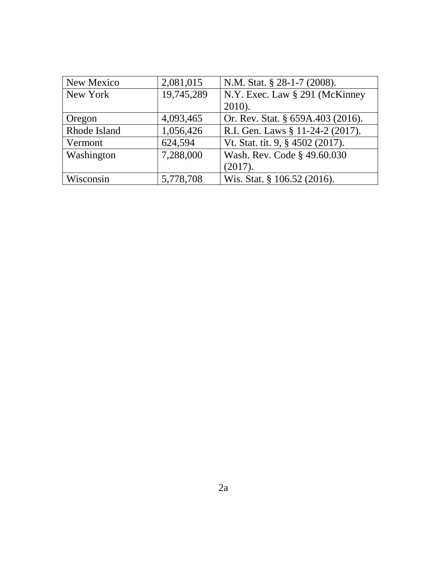| New Mexico   | 2,081,015  | N.M. Stat. § 28-1-7 (2008).       |
|--------------|------------|-----------------------------------|
| New York     | 19,745,289 | N.Y. Exec. Law § 291 (McKinney    |
|              |            | 2010).                            |
| Oregon       | 4,093,465  | Or. Rev. Stat. § 659A.403 (2016). |
| Rhode Island | 1,056,426  | R.I. Gen. Laws § 11-24-2 (2017).  |
| Vermont      | 624,594    | Vt. Stat. tit. 9, § 4502 (2017).  |
| Washington   | 7,288,000  | Wash. Rev. Code § 49.60.030       |
|              |            | (2017).                           |
| Wisconsin    | 5,778,708  | Wis. Stat. § 106.52 (2016).       |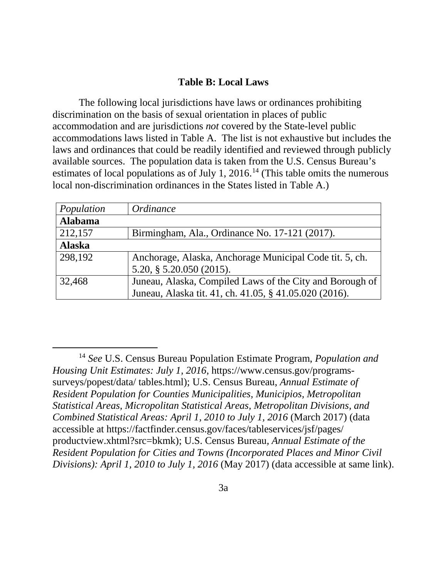#### **Table B: Local Laws**

<span id="page-41-0"></span>The following local jurisdictions have laws or ordinances prohibiting discrimination on the basis of sexual orientation in places of public accommodation and are jurisdictions *not* covered by the State-level public accommodations laws listed in Table A. The list is not exhaustive but includes the laws and ordinances that could be readily identified and reviewed through publicly available sources. The population data is taken from the U.S. Census Bureau's estimates of local populations as of July 1, 2016.<sup>[14](#page-41-1)</sup> (This table omits the numerous local non-discrimination ordinances in the States listed in Table A.)

| Population     | <i>Ordinance</i>                                         |
|----------------|----------------------------------------------------------|
| <b>Alabama</b> |                                                          |
| 212,157        | Birmingham, Ala., Ordinance No. 17-121 (2017).           |
| <b>Alaska</b>  |                                                          |
| 298,192        | Anchorage, Alaska, Anchorage Municipal Code tit. 5, ch.  |
|                | $5.20, \S 5.20.050 (2015).$                              |
| 32,468         | Juneau, Alaska, Compiled Laws of the City and Borough of |
|                | Juneau, Alaska tit. 41, ch. 41.05, § 41.05.020 (2016).   |

<span id="page-41-1"></span> <sup>14</sup> *See* U.S. Census Bureau Population Estimate Program, *Population and Housing Unit Estimates: July 1, 2016*, https://www.census.gov/programssurveys/popest/data/ tables.html); U.S. Census Bureau, *Annual Estimate of Resident Population for Counties Municipalities, Municipios, Metropolitan Statistical Areas, Micropolitan Statistical Areas, Metropolitan Divisions, and Combined Statistical Areas: April 1, 2010 to July 1, 2016* (March 2017) (data accessible at https://factfinder.census.gov/faces/tableservices/jsf/pages/ productview.xhtml?src=bkmk); U.S. Census Bureau*, Annual Estimate of the Resident Population for Cities and Towns (Incorporated Places and Minor Civil Divisions): April 1, 2010 to July 1, 2016* (May 2017) (data accessible at same link).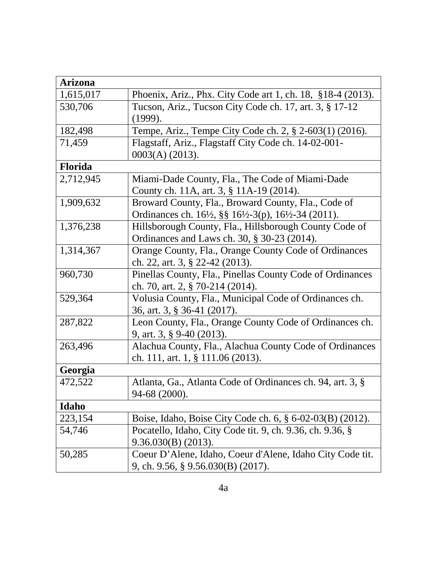| <b>Arizona</b> |                                                                                                                                     |
|----------------|-------------------------------------------------------------------------------------------------------------------------------------|
| 1,615,017      | Phoenix, Ariz., Phx. City Code art 1, ch. 18, §18-4 (2013).                                                                         |
| 530,706        | Tucson, Ariz., Tucson City Code ch. 17, art. 3, § 17-12                                                                             |
|                | (1999).                                                                                                                             |
| 182,498        | Tempe, Ariz., Tempe City Code ch. 2, § 2-603(1) (2016).                                                                             |
| 71,459         | Flagstaff, Ariz., Flagstaff City Code ch. 14-02-001-                                                                                |
|                | $0003(A)$ (2013).                                                                                                                   |
| <b>Florida</b> |                                                                                                                                     |
| 2,712,945      | Miami-Dade County, Fla., The Code of Miami-Dade                                                                                     |
|                | County ch. 11A, art. 3, § 11A-19 (2014).                                                                                            |
| 1,909,632      | Broward County, Fla., Broward County, Fla., Code of                                                                                 |
|                | Ordinances ch. 16 <sup>1</sup> / <sub>2</sub> , §§ 16 <sup>1</sup> / <sub>2</sub> -3(p), 16 <sup>1</sup> / <sub>2</sub> -34 (2011). |
| 1,376,238      | Hillsborough County, Fla., Hillsborough County Code of                                                                              |
|                | Ordinances and Laws ch. 30, § 30-23 (2014).                                                                                         |
| 1,314,367      | Orange County, Fla., Orange County Code of Ordinances                                                                               |
|                | ch. 22, art. 3, § 22-42 (2013).                                                                                                     |
| 960,730        | Pinellas County, Fla., Pinellas County Code of Ordinances                                                                           |
|                | ch. 70, art. 2, $\S$ 70-214 (2014).                                                                                                 |
| 529,364        | Volusia County, Fla., Municipal Code of Ordinances ch.                                                                              |
|                | 36, art. 3, § 36-41 (2017).                                                                                                         |
| 287,822        | Leon County, Fla., Orange County Code of Ordinances ch.                                                                             |
|                | 9, art. 3, § 9-40 (2013).                                                                                                           |
| 263,496        | Alachua County, Fla., Alachua County Code of Ordinances                                                                             |
|                | ch. 111, art. 1, $\S$ 111.06 (2013).                                                                                                |
| Georgia        |                                                                                                                                     |
| 472,522        | Atlanta, Ga., Atlanta Code of Ordinances ch. 94, art. 3, §                                                                          |
|                | 94-68 (2000).                                                                                                                       |
| Idaho          |                                                                                                                                     |
| 223,154        | Boise, Idaho, Boise City Code ch. 6, § 6-02-03(B) (2012).                                                                           |
| 54,746         | Pocatello, Idaho, City Code tit. 9, ch. 9.36, ch. 9.36, §                                                                           |
|                | $9.36.030(B)$ (2013).                                                                                                               |
| 50,285         | Coeur D'Alene, Idaho, Coeur d'Alene, Idaho City Code tit.                                                                           |
|                | 9, ch. 9.56, § 9.56.030(B) (2017).                                                                                                  |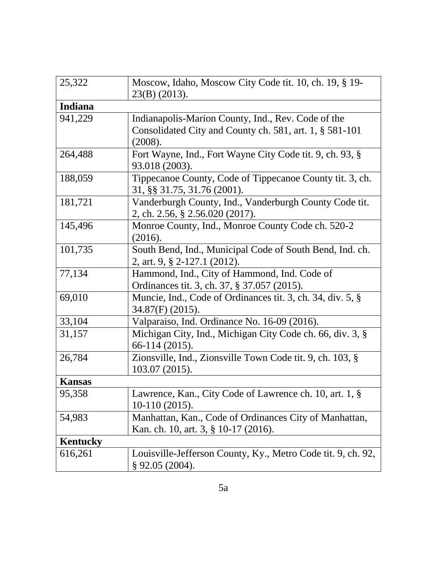| 25,322         | Moscow, Idaho, Moscow City Code tit. 10, ch. 19, § 19-<br>$23(B)$ (2013).                                                |
|----------------|--------------------------------------------------------------------------------------------------------------------------|
| <b>Indiana</b> |                                                                                                                          |
| 941,229        | Indianapolis-Marion County, Ind., Rev. Code of the<br>Consolidated City and County ch. 581, art. 1, § 581-101<br>(2008). |
| 264,488        | Fort Wayne, Ind., Fort Wayne City Code tit. 9, ch. 93, §<br>93.018 (2003).                                               |
| 188,059        | Tippecanoe County, Code of Tippecanoe County tit. 3, ch.<br>31, §§ 31.75, 31.76 (2001).                                  |
| 181,721        | Vanderburgh County, Ind., Vanderburgh County Code tit.<br>2, ch. 2.56, § 2.56.020 (2017).                                |
| 145,496        | Monroe County, Ind., Monroe County Code ch. 520-2<br>(2016).                                                             |
| 101,735        | South Bend, Ind., Municipal Code of South Bend, Ind. ch.<br>2, art. 9, § 2-127.1 (2012).                                 |
| 77,134         | Hammond, Ind., City of Hammond, Ind. Code of<br>Ordinances tit. 3, ch. 37, § 37.057 (2015).                              |
| 69,010         | Muncie, Ind., Code of Ordinances tit. 3, ch. 34, div. 5, §<br>$34.87(F)$ (2015).                                         |
| 33,104         | Valparaiso, Ind. Ordinance No. 16-09 (2016).                                                                             |
| 31,157         | Michigan City, Ind., Michigan City Code ch. 66, div. 3, §<br>66-114 (2015).                                              |
| 26,784         | Zionsville, Ind., Zionsville Town Code tit. 9, ch. 103, §<br>103.07 (2015).                                              |
| <b>Kansas</b>  |                                                                                                                          |
| 95,358         | Lawrence, Kan., City Code of Lawrence ch. 10, art. 1, §<br>10-110 (2015).                                                |
| 54,983         | Manhattan, Kan., Code of Ordinances City of Manhattan,<br>Kan. ch. 10, art. 3, § 10-17 (2016).                           |
| Kentucky       |                                                                                                                          |
| 616,261        | Louisville-Jefferson County, Ky., Metro Code tit. 9, ch. 92,<br>$§$ 92.05 (2004).                                        |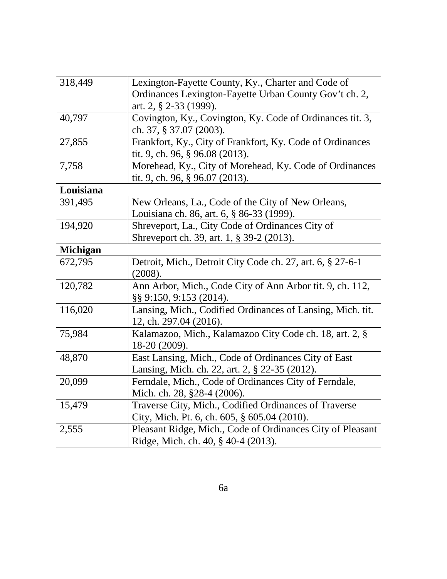| 318,449         | Lexington-Fayette County, Ky., Charter and Code of         |
|-----------------|------------------------------------------------------------|
|                 | Ordinances Lexington-Fayette Urban County Gov't ch. 2,     |
|                 | art. 2, § 2-33 (1999).                                     |
| 40,797          | Covington, Ky., Covington, Ky. Code of Ordinances tit. 3,  |
|                 | ch. 37, § 37.07 (2003).                                    |
| 27,855          | Frankfort, Ky., City of Frankfort, Ky. Code of Ordinances  |
|                 | tit. 9, ch. 96, § 96.08 (2013).                            |
| 7,758           | Morehead, Ky., City of Morehead, Ky. Code of Ordinances    |
|                 | tit. 9, ch. 96, § 96.07 (2013).                            |
| Louisiana       |                                                            |
| 391,495         | New Orleans, La., Code of the City of New Orleans,         |
|                 | Louisiana ch. 86, art. 6, § 86-33 (1999).                  |
| 194,920         | Shreveport, La., City Code of Ordinances City of           |
|                 | Shreveport ch. 39, art. 1, § 39-2 (2013).                  |
| <b>Michigan</b> |                                                            |
| 672,795         | Detroit, Mich., Detroit City Code ch. 27, art. 6, § 27-6-1 |
|                 | (2008).                                                    |
| 120,782         | Ann Arbor, Mich., Code City of Ann Arbor tit. 9, ch. 112,  |
|                 | §§ 9:150, 9:153 (2014).                                    |
| 116,020         | Lansing, Mich., Codified Ordinances of Lansing, Mich. tit. |
|                 | 12, ch. 297.04 (2016).                                     |
| 75,984          | Kalamazoo, Mich., Kalamazoo City Code ch. 18, art. 2, §    |
|                 | 18-20 (2009).                                              |
| 48,870          | East Lansing, Mich., Code of Ordinances City of East       |
|                 | Lansing, Mich. ch. 22, art. 2, § 22-35 (2012).             |
| 20,099          | Ferndale, Mich., Code of Ordinances City of Ferndale,      |
|                 | Mich. ch. 28, §28-4 (2006).                                |
| 15,479          | Traverse City, Mich., Codified Ordinances of Traverse      |
|                 | City, Mich. Pt. 6, ch. 605, § 605.04 (2010).               |
| 2,555           | Pleasant Ridge, Mich., Code of Ordinances City of Pleasant |
|                 | Ridge, Mich. ch. 40, § 40-4 (2013).                        |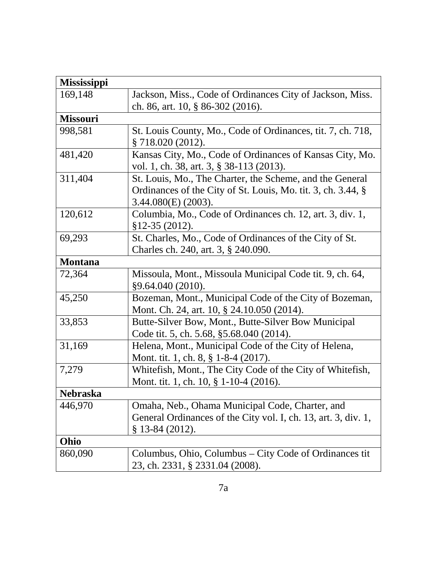| Mississippi     |                                                                |
|-----------------|----------------------------------------------------------------|
| 169,148         | Jackson, Miss., Code of Ordinances City of Jackson, Miss.      |
|                 | ch. 86, art. 10, § 86-302 (2016).                              |
| <b>Missouri</b> |                                                                |
| 998,581         | St. Louis County, Mo., Code of Ordinances, tit. 7, ch. 718,    |
|                 | $\S$ 718.020 (2012).                                           |
| 481,420         | Kansas City, Mo., Code of Ordinances of Kansas City, Mo.       |
|                 | vol. 1, ch. 38, art. 3, § 38-113 (2013).                       |
| 311,404         | St. Louis, Mo., The Charter, the Scheme, and the General       |
|                 | Ordinances of the City of St. Louis, Mo. tit. 3, ch. 3.44, §   |
|                 | $3.44.080(E)$ (2003).                                          |
| 120,612         | Columbia, Mo., Code of Ordinances ch. 12, art. 3, div. 1,      |
|                 | $$12-35(2012).$                                                |
| 69,293          | St. Charles, Mo., Code of Ordinances of the City of St.        |
|                 | Charles ch. 240, art. 3, § 240.090.                            |
| <b>Montana</b>  |                                                                |
| 72,364          | Missoula, Mont., Missoula Municipal Code tit. 9, ch. 64,       |
|                 | §9.64.040 (2010).                                              |
| 45,250          | Bozeman, Mont., Municipal Code of the City of Bozeman,         |
|                 | Mont. Ch. 24, art. 10, § 24.10.050 (2014).                     |
| 33,853          | Butte-Silver Bow, Mont., Butte-Silver Bow Municipal            |
|                 | Code tit. 5, ch. 5.68, §5.68.040 (2014).                       |
| 31,169          | Helena, Mont., Municipal Code of the City of Helena,           |
|                 | Mont. tit. 1, ch. 8, § 1-8-4 (2017).                           |
| 7,279           | Whitefish, Mont., The City Code of the City of Whitefish,      |
|                 | Mont. tit. 1, ch. 10, § 1-10-4 (2016).                         |
| <b>Nebraska</b> |                                                                |
| 446,970         | Omaha, Neb., Ohama Municipal Code, Charter, and                |
|                 | General Ordinances of the City vol. I, ch. 13, art. 3, div. 1, |
|                 | $§$ 13-84 (2012).                                              |
| Ohio            |                                                                |
| 860,090         | Columbus, Ohio, Columbus – City Code of Ordinances tit         |
|                 | 23, ch. 2331, § 2331.04 (2008).                                |